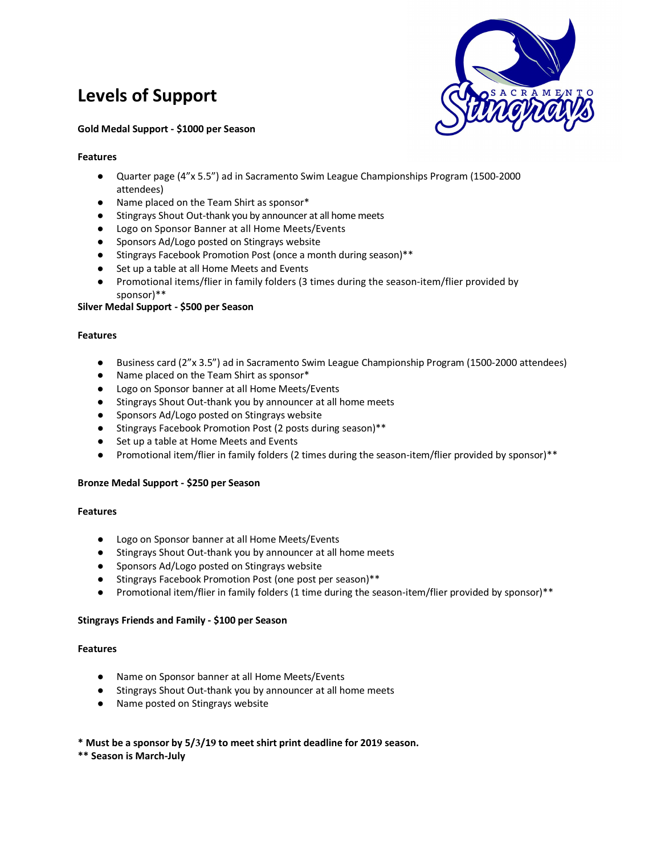# **Levels of Support**



#### **Gold Medal Support - \$1000 per Season**

### **Features**

- Quarter page (4"x 5.5") ad in Sacramento Swim League Championships Program (1500-2000 attendees)
- Name placed on the Team Shirt as sponsor\*
- Stingrays Shout Out-thank you by announcer at all home meets
- Logo on Sponsor Banner at all Home Meets/Events
- Sponsors Ad/Logo posted on Stingrays website
- Stingrays Facebook Promotion Post (once a month during season)\*\*
- Set up a table at all Home Meets and Events
- Promotional items/flier in family folders (3 times during the season-item/flier provided by sponsor)\*\*

# **Silver Medal Support - \$500 per Season**

#### **Features**

- Business card (2"x 3.5") ad in Sacramento Swim League Championship Program (1500-2000 attendees)
- Name placed on the Team Shirt as sponsor\*
- Logo on Sponsor banner at all Home Meets/Events
- Stingrays Shout Out-thank you by announcer at all home meets
- Sponsors Ad/Logo posted on Stingrays website
- Stingrays Facebook Promotion Post (2 posts during season)\*\*
- Set up a table at Home Meets and Events
- Promotional item/flier in family folders (2 times during the season-item/flier provided by sponsor)\*\*

# **Bronze Medal Support - \$250 per Season**

#### **Features**

- Logo on Sponsor banner at all Home Meets/Events
- Stingrays Shout Out-thank you by announcer at all home meets
- Sponsors Ad/Logo posted on Stingrays website
- Stingrays Facebook Promotion Post (one post per season)\*\*
- Promotional item/flier in family folders (1 time during the season-item/flier provided by sponsor)\*\*

# **Stingrays Friends and Family - \$100 per Season**

#### **Features**

- Name on Sponsor banner at all Home Meets/Events
- Stingrays Shout Out-thank you by announcer at all home meets
- Name posted on Stingrays website

# **\* Must be a sponsor by 5/3/19 to meet shirt print deadline for 2019 season.**

# **\*\* Season is March-July**